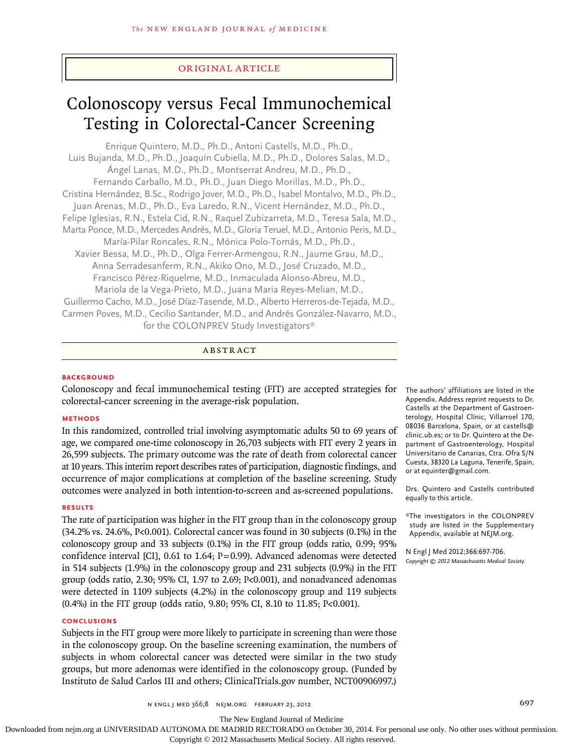# original article

# Colonoscopy versus Fecal Immunochemical Testing in Colorectal-Cancer Screening

Enrique Quintero, M.D., Ph.D., Antoni Castells, M.D., Ph.D., Luis Bujanda, M.D., Ph.D., Joaquín Cubiella, M.D., Ph.D., Dolores Salas, M.D., Ángel Lanas, M.D., Ph.D., Montserrat Andreu, M.D., Ph.D., Fernando Carballo, M.D., Ph.D., Juan Diego Morillas, M.D., Ph.D., Cristina Hernández, B.Sc., Rodrigo Jover, M.D., Ph.D., Isabel Montalvo, M.D., Ph.D., Juan Arenas, M.D., Ph.D., Eva Laredo, R.N., Vicent Hernández, M.D., Ph.D., Felipe Iglesias, R.N., Estela Cid, R.N., Raquel Zubizarreta, M.D., Teresa Sala, M.D., Marta Ponce, M.D., Mercedes Andrés, M.D., Gloria Teruel, M.D., Antonio Peris, M.D., María-Pilar Roncales, R.N., Mónica Polo-Tomás, M.D., Ph.D., Xavier Bessa, M.D., Ph.D., Olga Ferrer-Armengou, R.N., Jaume Grau, M.D., Anna Serradesanferm, R.N., Akiko Ono, M.D., José Cruzado, M.D., Francisco Pérez-Riquelme, M.D., Inmaculada Alonso-Abreu, M.D., Mariola de la Vega-Prieto, M.D., Juana Maria Reyes-Melian, M.D., Guillermo Cacho, M.D., José Díaz-Tasende, M.D., Alberto Herreros-de-Tejada, M.D., Carmen Poves, M.D., Cecilio Santander, M.D., and Andrés González-Navarro, M.D., for the COLONPREV Study Investigators\*

## **ABSTRACT**

## **BACKGROUND**

Colonoscopy and fecal immunochemical testing (FIT) are accepted strategies for colorectal-cancer screening in the average-risk population.

## **Methods**

In this randomized, controlled trial involving asymptomatic adults 50 to 69 years of age, we compared one-time colonoscopy in 26,703 subjects with FIT every 2 years in 26,599 subjects. The primary outcome was the rate of death from colorectal cancer at 10 years. This interim report describes rates of participation, diagnostic findings, and occurrence of major complications at completion of the baseline screening. Study outcomes were analyzed in both intention-to-screen and as-screened populations.

## **Results**

The rate of participation was higher in the FIT group than in the colonoscopy group (34.2% vs. 24.6%, P<0.001). Colorectal cancer was found in 30 subjects (0.1%) in the colonoscopy group and 33 subjects (0.1%) in the FIT group (odds ratio, 0.99; 95% confidence interval [CI], 0.61 to 1.64; P=0.99). Advanced adenomas were detected in 514 subjects (1.9%) in the colonoscopy group and 231 subjects (0.9%) in the FIT group (odds ratio, 2.30;  $95\%$  CI, 1.97 to 2.69; P<0.001), and nonadvanced adenomas were detected in 1109 subjects (4.2%) in the colonoscopy group and 119 subjects (0.4%) in the FIT group (odds ratio, 9.80; 95% CI, 8.10 to 11.85; P<0.001).

## **Conclusions**

Subjects in the FIT group were more likely to participate in screening than were those in the colonoscopy group. On the baseline screening examination, the numbers of subjects in whom colorectal cancer was detected were similar in the two study groups, but more adenomas were identified in the colonoscopy group. (Funded by Instituto de Salud Carlos III and others; ClinicalTrials.gov number, NCT00906997.)

The authors' affiliations are listed in the Appendix. Address reprint requests to Dr. Castells at the Department of Gastroenterology, Hospital Clínic, Villarroel 170, 08036 Barcelona, Spain, or at castells@ clinic.ub.es; or to Dr. Quintero at the Department of Gastroenterology, Hospital Universitario de Canarias, Ctra. Ofra S/N Cuesta, 38320 La Laguna, Tenerife, Spain, or at equinter@gmail.com.

Drs. Quintero and Castells contributed equally to this article.

\*The investigators in the COLONPREV study are listed in the Supplementary Appendix, available at NEJM.org.

N Engl J Med 2012;366:697-706. *Copyright © 2012 Massachusetts Medical Society.*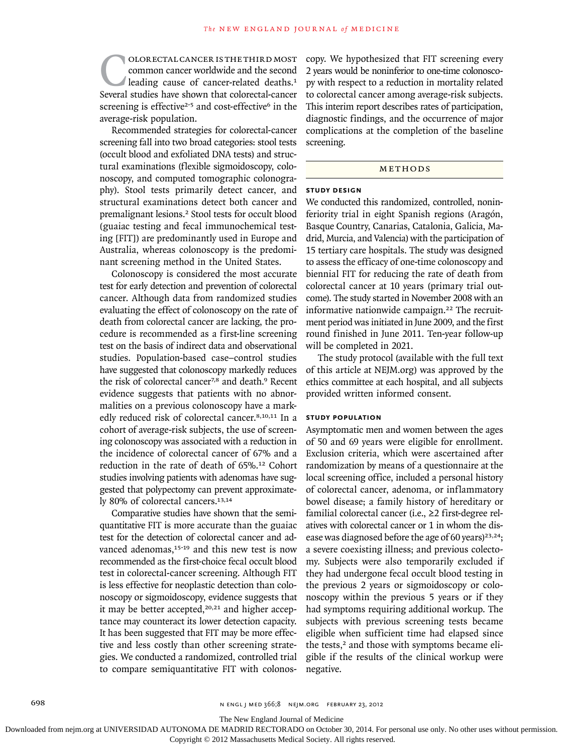COLORECTAL CANCER IS THE THIRD MOST<br>
common cancer worldwide and the second<br>
leading cause of cancer-related deaths.<sup>1</sup><br>
Several studies have shown that colorectal-cancer common cancer worldwide and the second leading cause of cancer-related deaths.<sup>1</sup> screening is effective<sup>2-5</sup> and cost-effective<sup>6</sup> in the average-risk population.

Recommended strategies for colorectal-cancer screening fall into two broad categories: stool tests (occult blood and exfoliated DNA tests) and structural examinations (flexible sigmoidoscopy, colonoscopy, and computed tomographic colonography). Stool tests primarily detect cancer, and structural examinations detect both cancer and premalignant lesions.2 Stool tests for occult blood (guaiac testing and fecal immunochemical testing [FIT]) are predominantly used in Europe and Australia, whereas colonoscopy is the predominant screening method in the United States.

Colonoscopy is considered the most accurate test for early detection and prevention of colorectal cancer. Although data from randomized studies evaluating the effect of colonoscopy on the rate of death from colorectal cancer are lacking, the procedure is recommended as a first-line screening test on the basis of indirect data and observational studies. Population-based case–control studies have suggested that colonoscopy markedly reduces the risk of colorectal cancer<sup>7,8</sup> and death.<sup>9</sup> Recent evidence suggests that patients with no abnormalities on a previous colonoscopy have a markedly reduced risk of colorectal cancer.8,10,11 In a cohort of average-risk subjects, the use of screening colonoscopy was associated with a reduction in the incidence of colorectal cancer of 67% and a reduction in the rate of death of 65%.12 Cohort studies involving patients with adenomas have suggested that polypectomy can prevent approximately 80% of colorectal cancers.13,14

Comparative studies have shown that the semiquantitative FIT is more accurate than the guaiac test for the detection of colorectal cancer and advanced adenomas.<sup>15-19</sup> and this new test is now recommended as the first-choice fecal occult blood test in colorectal-cancer screening. Although FIT is less effective for neoplastic detection than colonoscopy or sigmoidoscopy, evidence suggests that it may be better accepted,<sup>20,21</sup> and higher acceptance may counteract its lower detection capacity. It has been suggested that FIT may be more effective and less costly than other screening strategies. We conducted a randomized, controlled trial to compare semiquantitative FIT with colonoscopy. We hypothesized that FIT screening every 2 years would be noninferior to one-time colonoscopy with respect to a reduction in mortality related to colorectal cancer among average-risk subjects. This interim report describes rates of participation, diagnostic findings, and the occurrence of major complications at the completion of the baseline screening.

## METHODS

## **Study Design**

We conducted this randomized, controlled, noninferiority trial in eight Spanish regions (Aragón, Basque Country, Canarias, Catalonia, Galicia, Madrid, Murcia, and Valencia) with the participation of 15 tertiary care hospitals. The study was designed to assess the efficacy of one-time colonoscopy and biennial FIT for reducing the rate of death from colorectal cancer at 10 years (primary trial outcome). The study started in November 2008 with an informative nationwide campaign.<sup>22</sup> The recruitment period was initiated in June 2009, and the first round finished in June 2011. Ten-year follow-up will be completed in 2021.

The study protocol (available with the full text of this article at NEJM.org) was approved by the ethics committee at each hospital, and all subjects provided written informed consent.

## **Study Population**

Asymptomatic men and women between the ages of 50 and 69 years were eligible for enrollment. Exclusion criteria, which were ascertained after randomization by means of a questionnaire at the local screening office, included a personal history of colorectal cancer, adenoma, or inflammatory bowel disease; a family history of hereditary or familial colorectal cancer (i.e., ≥2 first-degree relatives with colorectal cancer or 1 in whom the disease was diagnosed before the age of 60 years)<sup>23,24</sup>; a severe coexisting illness; and previous colectomy. Subjects were also temporarily excluded if they had undergone fecal occult blood testing in the previous 2 years or sigmoidoscopy or colonoscopy within the previous 5 years or if they had symptoms requiring additional workup. The subjects with previous screening tests became eligible when sufficient time had elapsed since the tests,<sup>2</sup> and those with symptoms became eligible if the results of the clinical workup were negative.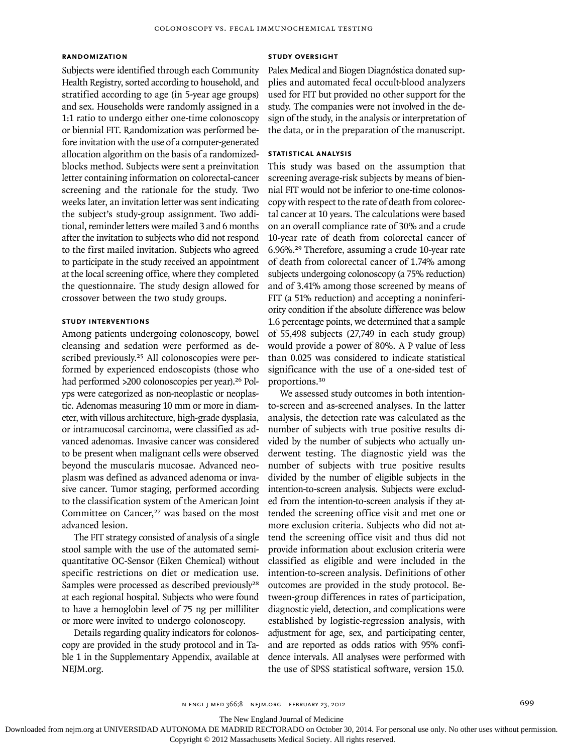## **Randomization**

Subjects were identified through each Community Health Registry, sorted according to household, and stratified according to age (in 5-year age groups) and sex. Households were randomly assigned in a 1:1 ratio to undergo either one-time colonoscopy or biennial FIT. Randomization was performed before invitation with the use of a computer-generated allocation algorithm on the basis of a randomizedblocks method. Subjects were sent a preinvitation letter containing information on colorectal-cancer screening and the rationale for the study. Two weeks later, an invitation letter was sent indicating the subject's study-group assignment. Two additional, reminder letters were mailed 3 and 6 months after the invitation to subjects who did not respond to the first mailed invitation. Subjects who agreed to participate in the study received an appointment at the local screening office, where they completed the questionnaire. The study design allowed for crossover between the two study groups.

#### **Study Interventions**

Among patients undergoing colonoscopy, bowel cleansing and sedation were performed as described previously.25 All colonoscopies were performed by experienced endoscopists (those who had performed >200 colonoscopies per year).<sup>26</sup> Polyps were categorized as non-neoplastic or neoplastic. Adenomas measuring 10 mm or more in diameter, with villous architecture, high-grade dysplasia, or intramucosal carcinoma, were classified as advanced adenomas. Invasive cancer was considered to be present when malignant cells were observed beyond the muscularis mucosae. Advanced neoplasm was defined as advanced adenoma or invasive cancer. Tumor staging, performed according to the classification system of the American Joint Committee on Cancer,<sup>27</sup> was based on the most advanced lesion.

The FIT strategy consisted of analysis of a single stool sample with the use of the automated semiquantitative OC-Sensor (Eiken Chemical) without specific restrictions on diet or medication use. Samples were processed as described previously<sup>28</sup> at each regional hospital. Subjects who were found to have a hemoglobin level of 75 ng per milliliter or more were invited to undergo colonoscopy.

Details regarding quality indicators for colonoscopy are provided in the study protocol and in Table 1 in the Supplementary Appendix, available at NEJM.org.

## **Study Oversight**

Palex Medical and Biogen Diagnóstica donated supplies and automated fecal occult-blood analyzers used for FIT but provided no other support for the study. The companies were not involved in the design of the study, in the analysis or interpretation of the data, or in the preparation of the manuscript.

## **Statistical Analysis**

This study was based on the assumption that screening average-risk subjects by means of biennial FIT would not be inferior to one-time colonoscopy with respect to the rate of death from colorectal cancer at 10 years. The calculations were based on an overall compliance rate of 30% and a crude 10-year rate of death from colorectal cancer of 6.96%.29 Therefore, assuming a crude 10-year rate of death from colorectal cancer of 1.74% among subjects undergoing colonoscopy (a 75% reduction) and of 3.41% among those screened by means of FIT (a 51% reduction) and accepting a noninferiority condition if the absolute difference was below 1.6 percentage points, we determined that a sample of 55,498 subjects (27,749 in each study group) would provide a power of 80%. A P value of less than 0.025 was considered to indicate statistical significance with the use of a one-sided test of proportions.<sup>30</sup>

We assessed study outcomes in both intentionto-screen and as-screened analyses. In the latter analysis, the detection rate was calculated as the number of subjects with true positive results divided by the number of subjects who actually underwent testing. The diagnostic yield was the number of subjects with true positive results divided by the number of eligible subjects in the intention-to-screen analysis. Subjects were excluded from the intention-to-screen analysis if they attended the screening office visit and met one or more exclusion criteria. Subjects who did not attend the screening office visit and thus did not provide information about exclusion criteria were classified as eligible and were included in the intention-to-screen analysis. Definitions of other outcomes are provided in the study protocol. Between-group differences in rates of participation, diagnostic yield, detection, and complications were established by logistic-regression analysis, with adjustment for age, sex, and participating center, and are reported as odds ratios with 95% confidence intervals. All analyses were performed with the use of SPSS statistical software, version 15.0.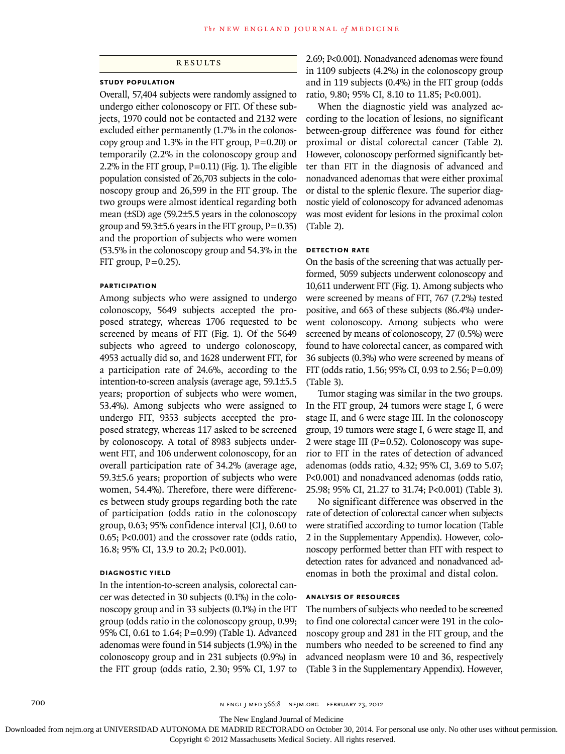# **RESULTS**

#### **Study Population**

Overall, 57,404 subjects were randomly assigned to undergo either colonoscopy or FIT. Of these subjects, 1970 could not be contacted and 2132 were excluded either permanently (1.7% in the colonoscopy group and  $1.3\%$  in the FIT group, P=0.20) or temporarily (2.2% in the colonoscopy group and 2.2% in the FIT group,  $P=0.11$ ) (Fig. 1). The eligible population consisted of 26,703 subjects in the colonoscopy group and 26,599 in the FIT group. The two groups were almost identical regarding both mean (±SD) age (59.2±5.5 years in the colonoscopy group and  $59.3\pm5.6$  years in the FIT group,  $P=0.35$ ) and the proportion of subjects who were women (53.5% in the colonoscopy group and 54.3% in the FIT group,  $P=0.25$ ).

## **Participation**

Among subjects who were assigned to undergo colonoscopy, 5649 subjects accepted the proposed strategy, whereas 1706 requested to be screened by means of FIT (Fig. 1). Of the 5649 subjects who agreed to undergo colonoscopy, 4953 actually did so, and 1628 underwent FIT, for a participation rate of 24.6%, according to the intention-to-screen analysis (average age, 59.1±5.5 years; proportion of subjects who were women, 53.4%). Among subjects who were assigned to undergo FIT, 9353 subjects accepted the proposed strategy, whereas 117 asked to be screened by colonoscopy. A total of 8983 subjects underwent FIT, and 106 underwent colonoscopy, for an overall participation rate of 34.2% (average age, 59.3±5.6 years; proportion of subjects who were women, 54.4%). Therefore, there were differences between study groups regarding both the rate of participation (odds ratio in the colonoscopy group, 0.63; 95% confidence interval [CI], 0.60 to 0.65; P<0.001) and the crossover rate (odds ratio, 16.8; 95% CI, 13.9 to 20.2; P<0.001).

## **Diagnostic Yield**

In the intention-to-screen analysis, colorectal cancer was detected in 30 subjects (0.1%) in the colonoscopy group and in 33 subjects (0.1%) in the FIT group (odds ratio in the colonoscopy group, 0.99; 95% CI, 0.61 to 1.64; P=0.99) (Table 1). Advanced adenomas were found in 514 subjects (1.9%) in the colonoscopy group and in 231 subjects (0.9%) in the FIT group (odds ratio, 2.30; 95% CI, 1.97 to

2.69; P<0.001). Nonadvanced adenomas were found in 1109 subjects (4.2%) in the colonoscopy group and in 119 subjects (0.4%) in the FIT group (odds ratio, 9.80; 95% CI, 8.10 to 11.85; P<0.001).

When the diagnostic yield was analyzed according to the location of lesions, no significant between-group difference was found for either proximal or distal colorectal cancer (Table 2). However, colonoscopy performed significantly better than FIT in the diagnosis of advanced and nonadvanced adenomas that were either proximal or distal to the splenic flexure. The superior diagnostic yield of colonoscopy for advanced adenomas was most evident for lesions in the proximal colon (Table 2).

## **Detection Rate**

On the basis of the screening that was actually performed, 5059 subjects underwent colonoscopy and 10,611 underwent FIT (Fig. 1). Among subjects who were screened by means of FIT, 767 (7.2%) tested positive, and 663 of these subjects (86.4%) underwent colonoscopy. Among subjects who were screened by means of colonoscopy, 27 (0.5%) were found to have colorectal cancer, as compared with 36 subjects (0.3%) who were screened by means of FIT (odds ratio, 1.56; 95% CI, 0.93 to 2.56;  $P = 0.09$ ) (Table 3).

Tumor staging was similar in the two groups. In the FIT group, 24 tumors were stage I, 6 were stage II, and 6 were stage III. In the colonoscopy group, 19 tumors were stage I, 6 were stage II, and 2 were stage III ( $P=0.52$ ). Colonoscopy was superior to FIT in the rates of detection of advanced adenomas (odds ratio, 4.32; 95% CI, 3.69 to 5.07; P<0.001) and nonadvanced adenomas (odds ratio, 25.98; 95% CI, 21.27 to 31.74; P<0.001) (Table 3).

No significant difference was observed in the rate of detection of colorectal cancer when subjects were stratified according to tumor location (Table 2 in the Supplementary Appendix). However, colonoscopy performed better than FIT with respect to detection rates for advanced and nonadvanced adenomas in both the proximal and distal colon.

## **Analysis of Resources**

The numbers of subjects who needed to be screened to find one colorectal cancer were 191 in the colonoscopy group and 281 in the FIT group, and the numbers who needed to be screened to find any advanced neoplasm were 10 and 36, respectively (Table 3 in the Supplementary Appendix). However,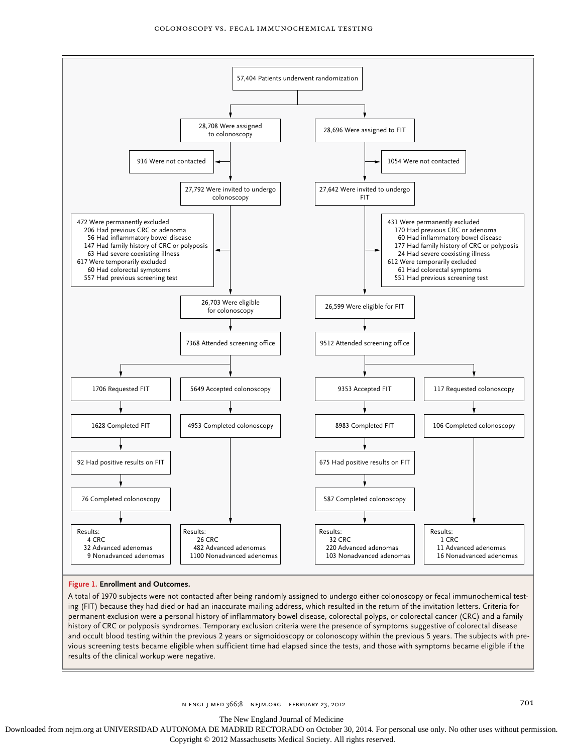

## **Figure 1. Enrollment and Outcomes.**

A total of 1970 subjects were not contacted after being randomly assigned to undergo either colonoscopy or fecal immunochemical testing (FIT) because they had died or had an inaccurate mailing address, which resulted in the return of the invitation letters. Criteria for permanent exclusion were a personal history of inflammatory bowel disease, colorectal polyps, or colorectal cancer (CRC) and a family history of CRC or polyposis syndromes. Temporary exclusion criteria were the presence of symptoms suggestive of colorectal disease and occult blood testing within the previous 2 years or sigmoidoscopy or colonoscopy within the previous 5 years. The subjects with previous screening tests became eligible when sufficient time had elapsed since the tests, and those with symptoms became eligible if the results of the clinical workup were negative.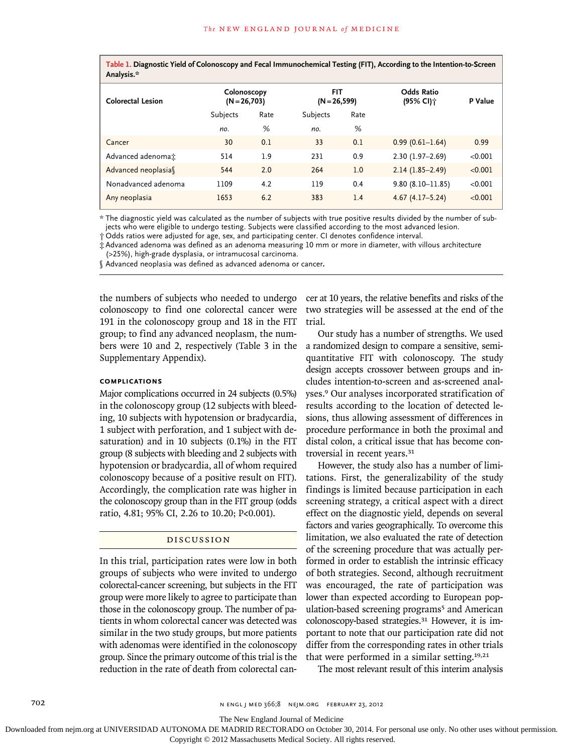**Table 1. Diagnostic Yield of Colonoscopy and Fecal Immunochemical Testing (FIT), According to the Intention-to-Screen Analysis.\***

| .                        |                               |      |                               |      |                                |         |
|--------------------------|-------------------------------|------|-------------------------------|------|--------------------------------|---------|
| <b>Colorectal Lesion</b> | Colonoscopy<br>$(N = 26,703)$ |      | <b>FIT</b><br>$(N = 26, 599)$ |      | <b>Odds Ratio</b><br>(95% CI)† | P Value |
|                          | Subjects                      | Rate | Subjects                      | Rate |                                |         |
|                          | no.                           | %    | no.                           | %    |                                |         |
| Cancer                   | 30                            | 0.1  | 33                            | 0.1  | $0.99(0.61 - 1.64)$            | 0.99    |
| Advanced adenomat        | 514                           | 1.9  | 231                           | 0.9  | $2.30(1.97 - 2.69)$            | < 0.001 |
| Advanced neoplasia       | 544                           | 2.0  | 264                           | 1.0  | $2.14(1.85 - 2.49)$            | < 0.001 |
| Nonadvanced adenoma      | 1109                          | 4.2  | 119                           | 0.4  | $9.80(8.10 - 11.85)$           | < 0.001 |
| Any neoplasia            | 1653                          | 6.2  | 383                           | 1.4  | $4.67(4.17 - 5.24)$            | < 0.001 |

\* The diagnostic yield was calculated as the number of subjects with true positive results divided by the number of subjects who were eligible to undergo testing. Subjects were classified according to the most advanced lesion.

† Odds ratios were adjusted for age, sex, and participating center. CI denotes confidence interval.

‡ Advanced adenoma was defined as an adenoma measuring 10 mm or more in diameter, with villous architecture (>25%), high-grade dysplasia, or intramucosal carcinoma.

§ Advanced neoplasia was defined as advanced adenoma or cancer**.**

the numbers of subjects who needed to undergo colonoscopy to find one colorectal cancer were 191 in the colonoscopy group and 18 in the FIT group; to find any advanced neoplasm, the numbers were 10 and 2, respectively (Table 3 in the Supplementary Appendix).

## **Complications**

Major complications occurred in 24 subjects (0.5%) in the colonoscopy group (12 subjects with bleeding, 10 subjects with hypotension or bradycardia, 1 subject with perforation, and 1 subject with desaturation) and in 10 subjects (0.1%) in the FIT group (8 subjects with bleeding and 2 subjects with hypotension or bradycardia, all of whom required colonoscopy because of a positive result on FIT). Accordingly, the complication rate was higher in the colonoscopy group than in the FIT group (odds ratio, 4.81; 95% CI, 2.26 to 10.20; P<0.001).

## Discussion

In this trial, participation rates were low in both groups of subjects who were invited to undergo colorectal-cancer screening, but subjects in the FIT group were more likely to agree to participate than those in the colonoscopy group. The number of patients in whom colorectal cancer was detected was similar in the two study groups, but more patients with adenomas were identified in the colonoscopy group. Since the primary outcome of this trial is the reduction in the rate of death from colorectal cancer at 10 years, the relative benefits and risks of the two strategies will be assessed at the end of the trial.

Our study has a number of strengths. We used a randomized design to compare a sensitive, semiquantitative FIT with colonoscopy. The study design accepts crossover between groups and includes intention-to-screen and as-screened analyses.9 Our analyses incorporated stratification of results according to the location of detected lesions, thus allowing assessment of differences in procedure performance in both the proximal and distal colon, a critical issue that has become controversial in recent years.<sup>31</sup>

However, the study also has a number of limitations. First, the generalizability of the study findings is limited because participation in each screening strategy, a critical aspect with a direct effect on the diagnostic yield, depends on several factors and varies geographically. To overcome this limitation, we also evaluated the rate of detection of the screening procedure that was actually performed in order to establish the intrinsic efficacy of both strategies. Second, although recruitment was encouraged, the rate of participation was lower than expected according to European population-based screening programs<sup>5</sup> and American colonoscopy-based strategies.31 However, it is important to note that our participation rate did not differ from the corresponding rates in other trials that were performed in a similar setting.19,21

The most relevant result of this interim analysis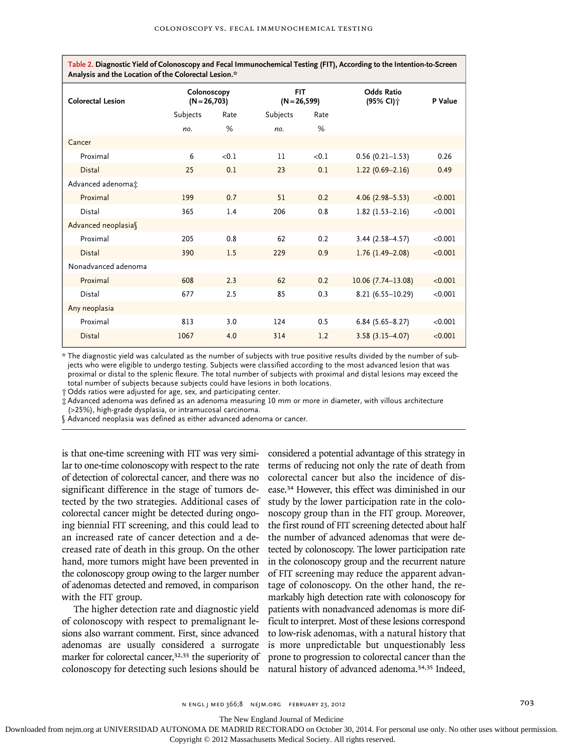**Table 2. Diagnostic Yield of Colonoscopy and Fecal Immunochemical Testing (FIT), According to the Intention-to-Screen Analysis and the Location of the Colorectal Lesion.\***

| <b>Colorectal Lesion</b> | Colonoscopy<br>$(N = 26,703)$ |       | <b>FIT</b><br>$(N = 26, 599)$ |       | <b>Odds Ratio</b><br>(95% CI) <sup>*</sup> | P Value |
|--------------------------|-------------------------------|-------|-------------------------------|-------|--------------------------------------------|---------|
|                          | Subjects                      | Rate  | Subjects                      | Rate  |                                            |         |
|                          | no.                           | %     | no.                           | %     |                                            |         |
| Cancer                   |                               |       |                               |       |                                            |         |
| Proximal                 | 6                             | < 0.1 | 11                            | < 0.1 | $0.56(0.21 - 1.53)$                        | 0.26    |
| <b>Distal</b>            | 25                            | 0.1   | 23                            | 0.1   | $1.22(0.69 - 2.16)$                        | 0.49    |
| Advanced adenomat        |                               |       |                               |       |                                            |         |
| Proximal                 | 199                           | 0.7   | 51                            | 0.2   | $4.06(2.98 - 5.53)$                        | < 0.001 |
| Distal                   | 365                           | 1.4   | 206                           | 0.8   | $1.82(1.53 - 2.16)$                        | < 0.001 |
| Advanced neoplasias      |                               |       |                               |       |                                            |         |
| Proximal                 | 205                           | 0.8   | 62                            | 0.2   | $3.44(2.58 - 4.57)$                        | < 0.001 |
| <b>Distal</b>            | 390                           | 1.5   | 229                           | 0.9   | $1.76(1.49-2.08)$                          | < 0.001 |
| Nonadvanced adenoma      |                               |       |                               |       |                                            |         |
| Proximal                 | 608                           | 2.3   | 62                            | 0.2   | $10.06$ (7.74-13.08)                       | < 0.001 |
| Distal                   | 677                           | 2.5   | 85                            | 0.3   | $8.21(6.55 - 10.29)$                       | < 0.001 |
| Any neoplasia            |                               |       |                               |       |                                            |         |
| Proximal                 | 813                           | 3.0   | 124                           | 0.5   | $6.84(5.65 - 8.27)$                        | < 0.001 |
| <b>Distal</b>            | 1067                          | 4.0   | 314                           | 1.2   | $3.58(3.15 - 4.07)$                        | < 0.001 |

\* The diagnostic yield was calculated as the number of subjects with true positive results divided by the number of subjects who were eligible to undergo testing. Subjects were classified according to the most advanced lesion that was proximal or distal to the splenic flexure. The total number of subjects with proximal and distal lesions may exceed the total number of subjects because subjects could have lesions in both locations.

† Odds ratios were adjusted for age, sex, and participating center.

‡ Advanced adenoma was defined as an adenoma measuring 10 mm or more in diameter, with villous architecture

(>25%), high-grade dysplasia, or intramucosal carcinoma.

§ Advanced neoplasia was defined as either advanced adenoma or cancer.

is that one-time screening with FIT was very similar to one-time colonoscopy with respect to the rate of detection of colorectal cancer, and there was no significant difference in the stage of tumors detected by the two strategies. Additional cases of colorectal cancer might be detected during ongoing biennial FIT screening, and this could lead to an increased rate of cancer detection and a decreased rate of death in this group. On the other hand, more tumors might have been prevented in the colonoscopy group owing to the larger number of adenomas detected and removed, in comparison with the FIT group.

The higher detection rate and diagnostic yield of colonoscopy with respect to premalignant lesions also warrant comment. First, since advanced adenomas are usually considered a surrogate marker for colorectal cancer,<sup>32,33</sup> the superiority of colonoscopy for detecting such lesions should be

considered a potential advantage of this strategy in terms of reducing not only the rate of death from colorectal cancer but also the incidence of disease.34 However, this effect was diminished in our study by the lower participation rate in the colonoscopy group than in the FIT group. Moreover, the first round of FIT screening detected about half the number of advanced adenomas that were detected by colonoscopy. The lower participation rate in the colonoscopy group and the recurrent nature of FIT screening may reduce the apparent advantage of colonoscopy. On the other hand, the remarkably high detection rate with colonoscopy for patients with nonadvanced adenomas is more difficult to interpret. Most of these lesions correspond to low-risk adenomas, with a natural history that is more unpredictable but unquestionably less prone to progression to colorectal cancer than the natural history of advanced adenoma.34,35 Indeed,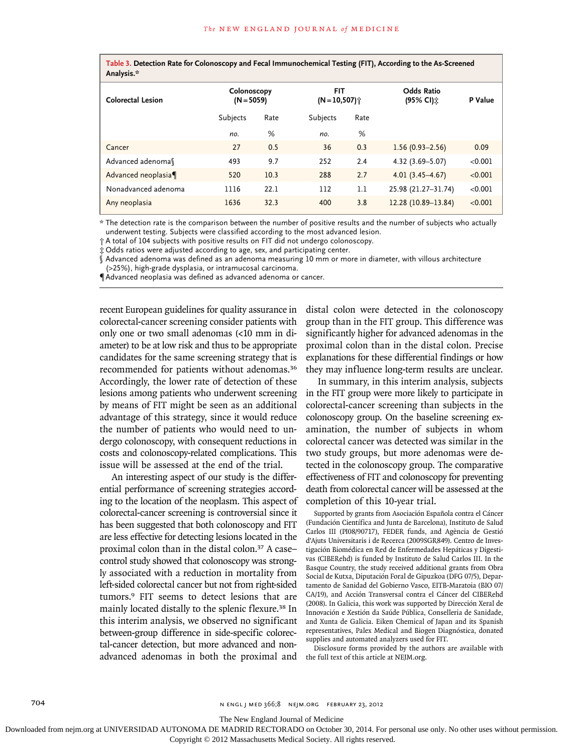**Table 3. Detection Rate for Colonoscopy and Fecal Immunochemical Testing (FIT), According to the As-Screened Analysis.\***

| .                        |                             |      |                                         |      |                                |         |
|--------------------------|-----------------------------|------|-----------------------------------------|------|--------------------------------|---------|
| <b>Colorectal Lesion</b> | Colonoscopy<br>$(N = 5059)$ |      | <b>FIT</b><br>$(N=10,507)$ <sup>*</sup> |      | <b>Odds Ratio</b><br>(95% CI): | P Value |
|                          | Subjects                    | Rate | Subjects                                | Rate |                                |         |
|                          | no.                         | %    | no.                                     | %    |                                |         |
| Cancer                   | 27                          | 0.5  | 36                                      | 0.3  | $1.56(0.93 - 2.56)$            | 0.09    |
| Advanced adenomas        | 493                         | 9.7  | 252                                     | 2.4  | $4.32(3.69 - 5.07)$            | < 0.001 |
| Advanced neoplasia       | 520                         | 10.3 | 288                                     | 2.7  | $4.01(3.45 - 4.67)$            | < 0.001 |
| Nonadvanced adenoma      | 1116                        | 22.1 | 112                                     | 1.1  | 25.98 (21.27-31.74)            | < 0.001 |
| Any neoplasia            | 1636                        | 32.3 | 400                                     | 3.8  | 12.28 (10.89-13.84)            | < 0.001 |

\* The detection rate is the comparison between the number of positive results and the number of subjects who actually underwent testing. Subjects were classified according to the most advanced lesion.

† A total of 104 subjects with positive results on FIT did not undergo colonoscopy.

‡ Odds ratios were adjusted according to age, sex, and participating center.

§ Advanced adenoma was defined as an adenoma measuring 10 mm or more in diameter, with villous architecture (>25%), high-grade dysplasia, or intramucosal carcinoma.

¶Advanced neoplasia was defined as advanced adenoma or cancer.

recent European guidelines for quality assurance in colorectal-cancer screening consider patients with only one or two small adenomas (<10 mm in diameter) to be at low risk and thus to be appropriate candidates for the same screening strategy that is recommended for patients without adenomas.<sup>36</sup> Accordingly, the lower rate of detection of these lesions among patients who underwent screening by means of FIT might be seen as an additional advantage of this strategy, since it would reduce the number of patients who would need to undergo colonoscopy, with consequent reductions in costs and colonoscopy-related complications. This issue will be assessed at the end of the trial.

An interesting aspect of our study is the differential performance of screening strategies according to the location of the neoplasm. This aspect of colorectal-cancer screening is controversial since it has been suggested that both colonoscopy and FIT are less effective for detecting lesions located in the proximal colon than in the distal colon.37 A case– control study showed that colonoscopy was strongly associated with a reduction in mortality from left-sided colorectal cancer but not from right-sided tumors.9 FIT seems to detect lesions that are mainly located distally to the splenic flexure.38 In this interim analysis, we observed no significant between-group difference in side-specific colorectal-cancer detection, but more advanced and nonadvanced adenomas in both the proximal and distal colon were detected in the colonoscopy group than in the FIT group. This difference was significantly higher for advanced adenomas in the proximal colon than in the distal colon. Precise explanations for these differential findings or how they may influence long-term results are unclear.

In summary, in this interim analysis, subjects in the FIT group were more likely to participate in colorectal-cancer screening than subjects in the colonoscopy group. On the baseline screening examination, the number of subjects in whom colorectal cancer was detected was similar in the two study groups, but more adenomas were detected in the colonoscopy group. The comparative effectiveness of FIT and colonoscopy for preventing death from colorectal cancer will be assessed at the completion of this 10-year trial.

Supported by grants from Asociación Española contra el Cáncer (Fundación Científica and Junta de Barcelona), Instituto de Salud Carlos III (PI08/90717), FEDER funds, and Agència de Gestió d'Ajuts Universitaris i de Recerca (2009SGR849). Centro de Investigación Biomédica en Red de Enfermedades Hepáticas y Digestivas (CIBERehd) is funded by Instituto de Salud Carlos III. In the Basque Country, the study received additional grants from Obra Social de Kutxa, Diputación Foral de Gipuzkoa (DFG 07/5), Departamento de Sanidad del Gobierno Vasco, EITB-Maratoia (BIO 07/ CA/19), and Acción Transversal contra el Cáncer del CIBERehd (2008). In Galicia, this work was supported by Dirección Xeral de Innovación e Xestión da Saúde Pública, Conselleria de Sanidade, and Xunta de Galicia. Eiken Chemical of Japan and its Spanish representatives, Palex Medical and Biogen Diagnóstica, donated supplies and automated analyzers used for FIT.

Disclosure forms provided by the authors are available with the full text of this article at NEJM.org.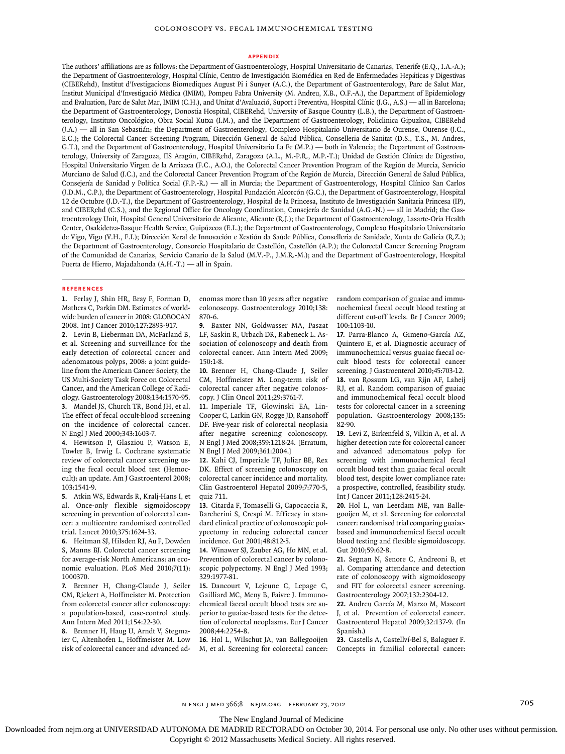#### **Appendix**

The authors' affiliations are as follows: the Department of Gastroenterology, Hospital Universitario de Canarias, Tenerife (E.Q., I.A.-A.); the Department of Gastroenterology, Hospital Clínic, Centro de Investigación Biomédica en Red de Enfermedades Hepáticas y Digestivas (CIBERehd), Institut d'Ivestigacions Biomediques August Pi i Sunyer (A.C.), the Department of Gastroenterology, Parc de Salut Mar, Institut Municipal d'Investigació Mèdica (IMIM), Pompeu Fabra University (M. Andreu, X.B., O.F.-A.), the Department of Epidemiology and Evaluation, Parc de Salut Mar, IMIM (C.H.), and Unitat d'Avaluació, Suport i Preventiva, Hospital Clínic (J.G., A.S.) — all in Barcelona; the Department of Gastroenterology, Donostia Hospital, CIBERehd, University of Basque Country (L.B.), the Department of Gastroenterology, Instituto Oncológico, Obra Social Kutxa (I.M.), and the Department of Gastroenterology, Policlinica Gipuzkoa, CIBERehd (J.A.) — all in San Sebastián; the Department of Gastroenterology, Complexo Hospitalario Universitario de Ourense, Ourense (J.C., E.C.); the Colorectal Cancer Screening Program, Dirección General de Salud Pública, Conselleria de Sanitat (D.S., T.S., M. Andres, G.T.), and the Department of Gastroenterology, Hospital Universitario La Fe (M.P.) — both in Valencia; the Department of Gastroenterology, University of Zaragoza, IIS Aragón, CIBERehd, Zaragoza (A.L., M.-P.R., M.P.-T.); Unidad de Gestión Clínica de Digestivo, Hospital Universitario Virgen de la Arrixaca (F.C., A.O.), the Colorectal Cancer Prevention Program of the Región de Murcia, Servicio Murciano de Salud (J.C.), and the Colorectal Cancer Prevention Program of the Región de Murcia, Dirección General de Salud Pública, Consejería de Sanidad y Política Social (F.P.-R.) — all in Murcia; the Department of Gastroenterology, Hospital Clínico San Carlos (J.D.M., C.P.), the Department of Gastroenterology, Hospital Fundación Alcorcón (G.C.), the Department of Gastroenterology, Hospital 12 de Octubre (J.D.-T.), the Department of Gastroenterology, Hospital de la Princesa, Instituto de Investigación Sanitaria Princesa (IP), and CIBERehd (C.S.), and the Regional Office for Oncology Coordination, Consejería de Sanidad (A.G.-N.) — all in Madrid; the Gastroenterology Unit, Hospital General Universitario de Alicante, Alicante (R.J.); the Department of Gastroenterology, Lasarte-Oria Health Center, Osakidetza-Basque Health Service, Guipúzcoa (E.L.); the Department of Gastroenterology, Complexo Hospitalario Universitario de Vigo, Vigo (V.H., F.I.); Dirección Xeral de Innovación e Xestión da Saúde Pública, Conselleria de Sanidade, Xunta de Galicia (R.Z.); the Department of Gastroenterology, Consorcio Hospitalario de Castellón, Castellón (A.P.); the Colorectal Cancer Screening Program of the Comunidad de Canarias, Servicio Canario de la Salud (M.V.-P., J.M.R.-M.); and the Department of Gastroenterology, Hospital Puerta de Hierro, Majadahonda (A.H.-T.) — all in Spain.

#### **References**

**1.** Ferlay J, Shin HR, Bray F, Forman D, Mathers C, Parkin DM. Estimates of worldwide burden of cancer in 2008: GLOBOCAN 2008. Int J Cancer 2010;127:2893-917.

**2.** Levin B, Lieberman DA, McFarland B, et al. Screening and surveillance for the early detection of colorectal cancer and adenomatous polyps, 2008: a joint guideline from the American Cancer Society, the US Multi-Society Task Force on Colorectal Cancer, and the American College of Radiology. Gastroenterology 2008;134:1570-95. **3.** Mandel JS, Church TR, Bond JH, et al. The effect of fecal occult-blood screening

on the incidence of colorectal cancer. N Engl J Med 2000;343:1603-7.

**4.** Hewitson P, Glasziou P, Watson E, Towler B, Irwig L. Cochrane systematic review of colorectal cancer screening using the fecal occult blood test (Hemoccult): an update. Am J Gastroenterol 2008; 103:1541-9.

**5.** Atkin WS, Edwards R, Kralj-Hans I, et al. Once-only flexible sigmoidoscopy screening in prevention of colorectal cancer: a multicentre randomised controlled trial. Lancet 2010;375:1624-33.

**6.** Heitman SJ, Hilsden RJ, Au F, Dowden S, Manns BJ. Colorectal cancer screening for average-risk North Americans: an economic evaluation. PLoS Med 2010;7(11): 1000370.

**7.** Brenner H, Chang-Claude J, Seiler CM, Rickert A, Hoffmeister M. Protection from colorectal cancer after colonoscopy: a population-based, case-control study. Ann Intern Med 2011;154:22-30.

**8.** Brenner H, Haug U, Arndt V, Stegmaier C, Altenhofen L, Hoffmeister M. Low risk of colorectal cancer and advanced ad-

enomas more than 10 years after negative colonoscopy. Gastroenterology 2010;138: 870-6.

**9.** Baxter NN, Goldwasser MA, Paszat LF, Saskin R, Urbach DR, Rabeneck L. Association of colonoscopy and death from colorectal cancer. Ann Intern Med 2009; 150:1-8.

**10.** Brenner H, Chang-Claude J, Seiler CM, Hoffmeister M. Long-term risk of colorectal cancer after negative colonoscopy. J Clin Oncol 2011;29:3761-7.

**11.** Imperiale TF, Glowinski EA, Lin-Cooper C, Larkin GN, Rogge JD, Ransohoff DF. Five-year risk of colorectal neoplasia after negative screening colonoscopy. N Engl J Med 2008;359:1218-24. [Erratum, N Engl J Med 2009;361:2004.]

**12.** Kahi CJ, Imperiale TF, Juliar BE, Rex DK. Effect of screening colonoscopy on colorectal cancer incidence and mortality. Clin Gastroenterol Hepatol 2009;7:770-5, quiz 711.

**13.** Citarda F, Tomaselli G, Capocaccia R, Barcherini S, Crespi M. Efficacy in standard clinical practice of colonoscopic polypectomy in reducing colorectal cancer incidence. Gut 2001;48:812-5.

**14.** Winawer SJ, Zauber AG, Ho MN, et al. Prevention of colorectal cancer by colonoscopic polypectomy. N Engl J Med 1993; 329:1977-81.

**15.** Dancourt V, Lejeune C, Lepage C, Gailliard MC, Meny B, Faivre J. Immunochemical faecal occult blood tests are superior to guaiac-based tests for the detection of colorectal neoplasms. Eur J Cancer 2008;44:2254-8.

**16.** Hol L, Wilschut JA, van Ballegooijen M, et al. Screening for colorectal cancer:

random comparison of guaiac and immunochemical faecal occult blood testing at different cut-off levels. Br J Cancer 2009; 100:1103-10.

**17.** Parra-Blanco A, Gimeno-García AZ, Quintero E, et al. Diagnostic accuracy of immunochemical versus guaiac faecal occult blood tests for colorectal cancer screening. J Gastroenterol 2010;45:703-12. **18.** van Rossum LG, van Rijn AF, Laheij RJ, et al. Random comparison of guaiac and immunochemical fecal occult blood tests for colorectal cancer in a screening population. Gastroenterology 2008;135: 82-90.

**19.** Levi Z, Birkenfeld S, Vilkin A, et al. A higher detection rate for colorectal cancer and advanced adenomatous polyp for screening with immunochemical fecal occult blood test than guaiac fecal occult blood test, despite lower compliance rate: a prospective, controlled, feasibility study. Int J Cancer 2011;128:2415-24.

**20.** Hol L, van Leerdam ME, van Ballegooijen M, et al. Screening for colorectal cancer: randomised trial comparing guaiacbased and immunochemical faecal occult blood testing and flexible sigmoidoscopy. Gut 2010;59:62-8.

**21.** Segnan N, Senore C, Andreoni B, et al. Comparing attendance and detection rate of colonoscopy with sigmoidoscopy and FIT for colorectal cancer screening. Gastroenterology 2007;132:2304-12.

**22.** Andreu García M, Marzo M, Mascort J, et al. Prevention of colorectal cancer. Gastroenterol Hepatol 2009;32:137-9. (In Spanish.)

**23.** Castells A, Castellví-Bel S, Balaguer F. Concepts in familial colorectal cancer: